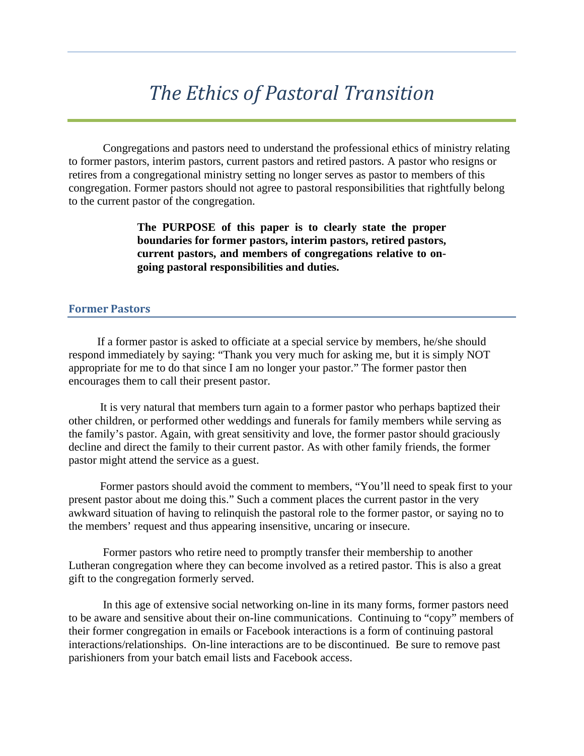# *The Ethics of Pastoral Transition*

Congregations and pastors need to understand the professional ethics of ministry relating to former pastors, interim pastors, current pastors and retired pastors. A pastor who resigns or retires from a congregational ministry setting no longer serves as pastor to members of this congregation. Former pastors should not agree to pastoral responsibilities that rightfully belong to the current pastor of the congregation.

> **The PURPOSE of this paper is to clearly state the proper boundaries for former pastors, interim pastors, retired pastors, current pastors, and members of congregations relative to ongoing pastoral responsibilities and duties.**

## **Former Pastors**

 If a former pastor is asked to officiate at a special service by members, he/she should respond immediately by saying: "Thank you very much for asking me, but it is simply NOT appropriate for me to do that since I am no longer your pastor." The former pastor then encourages them to call their present pastor.

 It is very natural that members turn again to a former pastor who perhaps baptized their other children, or performed other weddings and funerals for family members while serving as the family's pastor. Again, with great sensitivity and love, the former pastor should graciously decline and direct the family to their current pastor. As with other family friends, the former pastor might attend the service as a guest.

 Former pastors should avoid the comment to members, "You'll need to speak first to your present pastor about me doing this." Such a comment places the current pastor in the very awkward situation of having to relinquish the pastoral role to the former pastor, or saying no to the members' request and thus appearing insensitive, uncaring or insecure.

Former pastors who retire need to promptly transfer their membership to another Lutheran congregation where they can become involved as a retired pastor. This is also a great gift to the congregation formerly served.

In this age of extensive social networking on-line in its many forms, former pastors need to be aware and sensitive about their on-line communications. Continuing to "copy" members of their former congregation in emails or Facebook interactions is a form of continuing pastoral interactions/relationships. On-line interactions are to be discontinued. Be sure to remove past parishioners from your batch email lists and Facebook access.